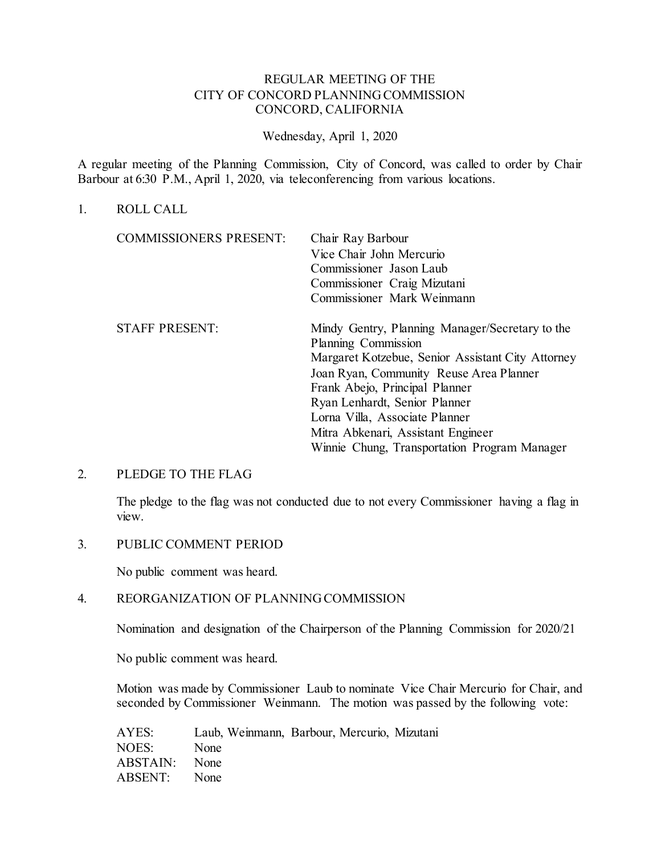# REGULAR MEETING OF THE CITY OF CONCORD PLANNING COMMISSION CONCORD, CALIFORNIA

### Wednesday, April 1, 2020

A regular meeting of the Planning Commission, City of Concord, was called to order by Chair Barbour at 6:30 P.M., April 1, 2020, via teleconferencing from various locations.

### 1. ROLL CALL

| <b>COMMISSIONERS PRESENT:</b> | Chair Ray Barbour                                 |
|-------------------------------|---------------------------------------------------|
|                               | Vice Chair John Mercurio                          |
|                               | Commissioner Jason Laub                           |
|                               | Commissioner Craig Mizutani                       |
|                               | Commissioner Mark Weinmann                        |
| <b>STAFF PRESENT:</b>         | Mindy Gentry, Planning Manager/Secretary to the   |
|                               | Planning Commission                               |
|                               | Margaret Kotzebue, Senior Assistant City Attorney |
|                               | Joan Ryan, Community Reuse Area Planner           |
|                               | Frank Abejo, Principal Planner                    |
|                               | Ryan Lenhardt, Senior Planner                     |
|                               | Lorna Villa, Associate Planner                    |
|                               | Mitra Abkenari, Assistant Engineer                |
|                               | Winnie Chung, Transportation Program Manager      |
|                               |                                                   |

#### 2. PLEDGE TO THE FLAG

The pledge to the flag was not conducted due to not every Commissioner having a flag in view.

3. PUBLIC COMMENT PERIOD

No public comment was heard.

## 4. REORGANIZATION OF PLANNING COMMISSION

Nomination and designation of the Chairperson of the Planning Commission for 2020/21

No public comment was heard.

Motion was made by Commissioner Laub to nominate Vice Chair Mercurio for Chair, and seconded by Commissioner Weinmann. The motion was passed by the following vote:

| AYES:         |      | Laub, Weinmann, Barbour, Mercurio, Mizutani |  |  |
|---------------|------|---------------------------------------------|--|--|
| NOES:         | None |                                             |  |  |
| ABSTAIN: None |      |                                             |  |  |
| ABSENT: None  |      |                                             |  |  |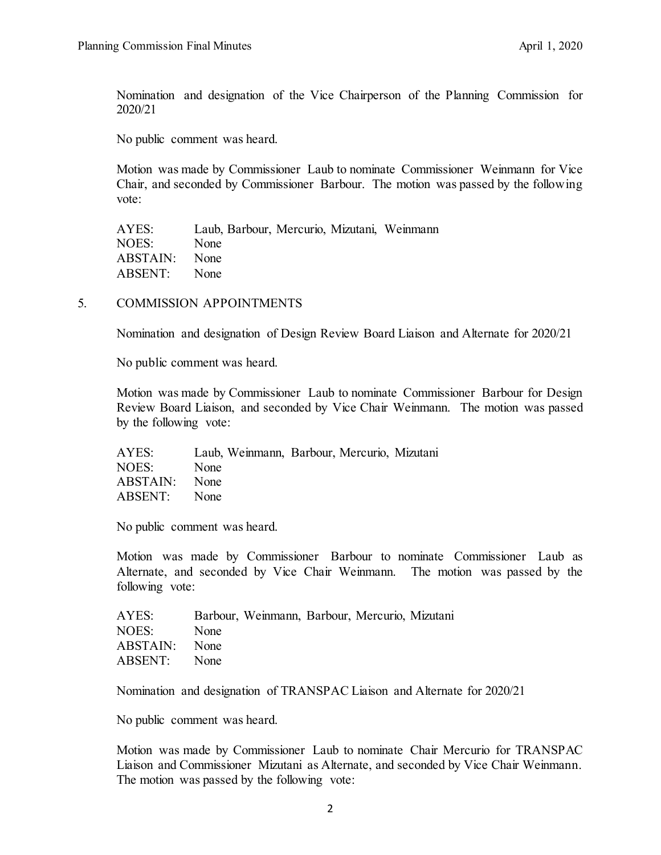Nomination and designation of the Vice Chairperson of the Planning Commission for 2020/21

No public comment was heard.

Motion was made by Commissioner Laub to nominate Commissioner Weinmann for Vice Chair, and seconded by Commissioner Barbour. The motion was passed by the following vote:

AYES: Laub, Barbour, Mercurio, Mizutani, Weinmann NOES: None ABSTAIN: None ABSENT: None

### 5. COMMISSION APPOINTMENTS

Nomination and designation of Design Review Board Liaison and Alternate for 2020/21

No public comment was heard.

Motion was made by Commissioner Laub to nominate Commissioner Barbour for Design Review Board Liaison, and seconded by Vice Chair Weinmann. The motion was passed by the following vote:

| AYES:         |      | Laub, Weinmann, Barbour, Mercurio, Mizutani |  |  |
|---------------|------|---------------------------------------------|--|--|
| NOES:         | None |                                             |  |  |
| ABSTAIN: None |      |                                             |  |  |
| ABSENT: None  |      |                                             |  |  |

No public comment was heard.

Motion was made by Commissioner Barbour to nominate Commissioner Laub as Alternate, and seconded by Vice Chair Weinmann. The motion was passed by the following vote:

| AYES:         |      | Barbour, Weinmann, Barbour, Mercurio, Mizutani |  |  |
|---------------|------|------------------------------------------------|--|--|
| NOES:         | None |                                                |  |  |
| ABSTAIN: None |      |                                                |  |  |
| ABSENT: None  |      |                                                |  |  |

Nomination and designation of TRANSPAC Liaison and Alternate for 2020/21

No public comment was heard.

Motion was made by Commissioner Laub to nominate Chair Mercurio for TRANSPAC Liaison and Commissioner Mizutani as Alternate, and seconded by Vice Chair Weinmann. The motion was passed by the following vote: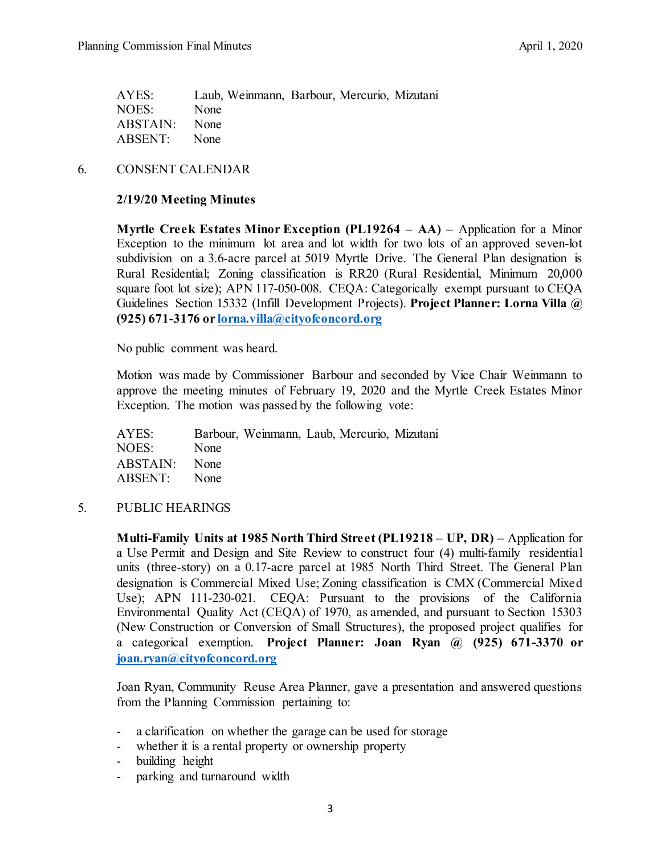| Laub, Weinmann, Barbour, Mercurio, Mizutani |
|---------------------------------------------|
|                                             |
|                                             |
|                                             |
|                                             |

6. CONSENT CALENDAR

## **2/19/20 Meeting Minutes**

**Myrtle Creek Estates Minor Exception (PL19264 – AA) –** Application for a Minor Exception to the minimum lot area and lot width for two lots of an approved seven-lot subdivision on a 3.6-acre parcel at 5019 Myrtle Drive. The General Plan designation is Rural Residential; Zoning classification is RR20 (Rural Residential, Minimum 20,000 square foot lot size); APN 117-050-008. CEQA: Categorically exempt pursuant to CEQA Guidelines Section 15332 (Infill Development Projects). **Project Planner: Lorna Villa @ (925) 671-3176 o[r lorna.villa@cityofconcord.org](mailto:lorna.villa@cityofconcord.org)**

No public comment was heard.

Motion was made by Commissioner Barbour and seconded by Vice Chair Weinmann to approve the meeting minutes of February 19, 2020 and the Myrtle Creek Estates Minor Exception. The motion was passed by the following vote:

AYES: Barbour, Weinmann, Laub, Mercurio, Mizutani NOES: None ABSTAIN: None ABSENT: None

## 5. PUBLIC HEARINGS

**Multi-Family Units at 1985 North Third Street (PL19218 – UP, DR) –** Application for a Use Permit and Design and Site Review to construct four (4) multi-family residential units (three-story) on a 0.17-acre parcel at 1985 North Third Street. The General Plan designation is Commercial Mixed Use; Zoning classification is CMX (Commercial Mixed Use); APN 111-230-021. CEQA: Pursuant to the provisions of the California Environmental Quality Act (CEQA) of 1970, as amended, and pursuant to Section 15303 (New Construction or Conversion of Small Structures), the proposed project qualifies for a categorical exemption. **Project Planner: Joan Ryan @ (925) 671-3370 or [joan.ryan@cityofconcord.org](mailto:joan.ryan@cityofconcord.org)**

Joan Ryan, Community Reuse Area Planner, gave a presentation and answered questions from the Planning Commission pertaining to:

- a clarification on whether the garage can be used for storage
- whether it is a rental property or ownership property
- building height
- parking and turnaround width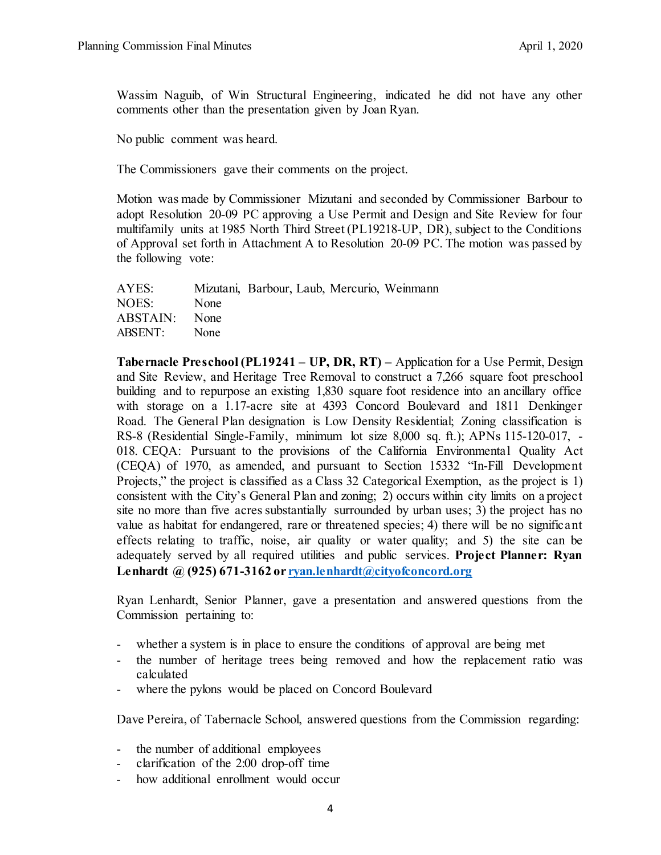Wassim Naguib, of Win Structural Engineering, indicated he did not have any other comments other than the presentation given by Joan Ryan.

No public comment was heard.

The Commissioners gave their comments on the project.

Motion was made by Commissioner Mizutani and seconded by Commissioner Barbour to adopt Resolution 20-09 PC approving a Use Permit and Design and Site Review for four multifamily units at 1985 North Third Street (PL19218-UP, DR), subject to the Conditions of Approval set forth in Attachment A to Resolution 20-09 PC. The motion was passed by the following vote:

| AYES:         |             | Mizutani, Barbour, Laub, Mercurio, Weinmann |  |  |
|---------------|-------------|---------------------------------------------|--|--|
| NOES:         | None        |                                             |  |  |
| ABSTAIN: None |             |                                             |  |  |
| ABSENT:       | <b>None</b> |                                             |  |  |
|               |             |                                             |  |  |

**Tabernacle Preschool (PL19241 – UP, DR, RT) –** Application for a Use Permit, Design and Site Review, and Heritage Tree Removal to construct a 7,266 square foot preschool building and to repurpose an existing 1,830 square foot residence into an ancillary office with storage on a 1.17-acre site at 4393 Concord Boulevard and 1811 Denkinger Road. The General Plan designation is Low Density Residential; Zoning classification is RS-8 (Residential Single-Family, minimum lot size 8,000 sq. ft.); APNs 115-120-017, - 018. CEQA: Pursuant to the provisions of the California Environmental Quality Act (CEQA) of 1970, as amended, and pursuant to Section 15332 "In-Fill Development Projects," the project is classified as a Class 32 Categorical Exemption, as the project is 1) consistent with the City's General Plan and zoning; 2) occurs within city limits on a project site no more than five acres substantially surrounded by urban uses; 3) the project has no value as habitat for endangered, rare or threatened species; 4) there will be no significant effects relating to traffic, noise, air quality or water quality; and 5) the site can be adequately served by all required utilities and public services. **Project Planner: Ryan Lenhardt @ (925) 671-3162 o[r ryan.lenhardt@cityofconcord.org](mailto:ryan.lenhardt@cityofconcord.org)**

Ryan Lenhardt, Senior Planner, gave a presentation and answered questions from the Commission pertaining to:

- whether a system is in place to ensure the conditions of approval are being met
- the number of heritage trees being removed and how the replacement ratio was calculated
- where the pylons would be placed on Concord Boulevard

Dave Pereira, of Tabernacle School, answered questions from the Commission regarding:

- the number of additional employees
- clarification of the 2:00 drop-off time
- how additional enrollment would occur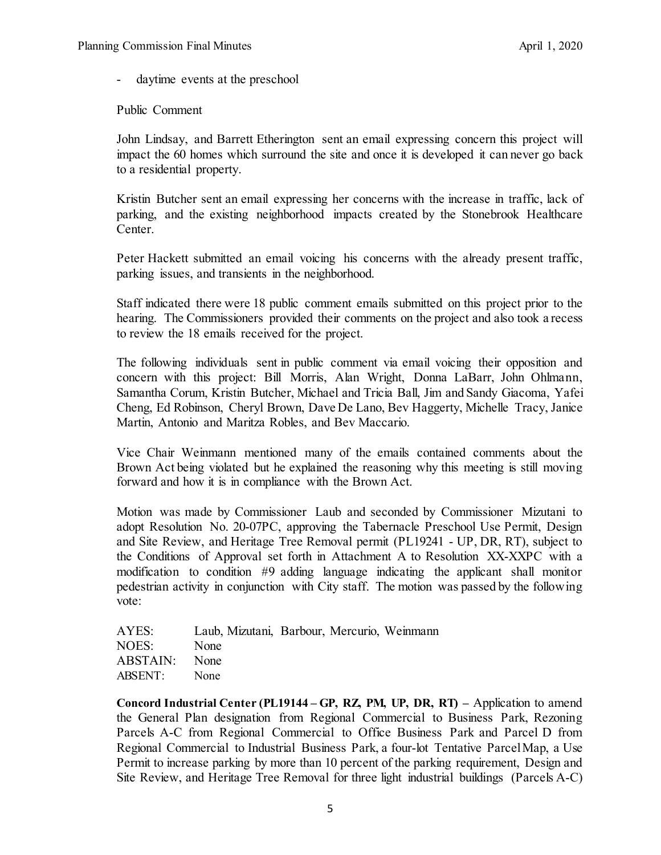daytime events at the preschool

Public Comment

John Lindsay, and Barrett Etherington sent an email expressing concern this project will impact the 60 homes which surround the site and once it is developed it can never go back to a residential property.

Kristin Butcher sent an email expressing her concerns with the increase in traffic, lack of parking, and the existing neighborhood impacts created by the Stonebrook Healthcare Center.

Peter Hackett submitted an email voicing his concerns with the already present traffic, parking issues, and transients in the neighborhood.

Staff indicated there were 18 public comment emails submitted on this project prior to the hearing. The Commissioners provided their comments on the project and also took a recess to review the 18 emails received for the project.

The following individuals sent in public comment via email voicing their opposition and concern with this project: Bill Morris, Alan Wright, Donna LaBarr, John Ohlmann, Samantha Corum, Kristin Butcher, Michael and Tricia Ball, Jim and Sandy Giacoma, Yafei Cheng, Ed Robinson, Cheryl Brown, Dave De Lano, Bev Haggerty, Michelle Tracy, Janice Martin, Antonio and Maritza Robles, and Bev Maccario.

Vice Chair Weinmann mentioned many of the emails contained comments about the Brown Act being violated but he explained the reasoning why this meeting is still moving forward and how it is in compliance with the Brown Act.

Motion was made by Commissioner Laub and seconded by Commissioner Mizutani to adopt Resolution No. 20-07PC, approving the Tabernacle Preschool Use Permit, Design and Site Review, and Heritage Tree Removal permit (PL19241 - UP, DR, RT), subject to the Conditions of Approval set forth in Attachment A to Resolution XX-XXPC with a modification to condition #9 adding language indicating the applicant shall monitor pedestrian activity in conjunction with City staff. The motion was passed by the following vote:

| AYES:         | Laub, Mizutani, Barbour, Mercurio, Weinmann |  |  |
|---------------|---------------------------------------------|--|--|
| NOES:         | None                                        |  |  |
| ABSTAIN: None |                                             |  |  |
| ABSENT: None  |                                             |  |  |

**Concord Industrial Center (PL19144 – GP, RZ, PM, UP, DR, RT) –** Application to amend the General Plan designation from Regional Commercial to Business Park, Rezoning Parcels A-C from Regional Commercial to Office Business Park and Parcel D from Regional Commercial to Industrial Business Park, a four-lot Tentative Parcel Map, a Use Permit to increase parking by more than 10 percent of the parking requirement, Design and Site Review, and Heritage Tree Removal for three light industrial buildings (Parcels A-C)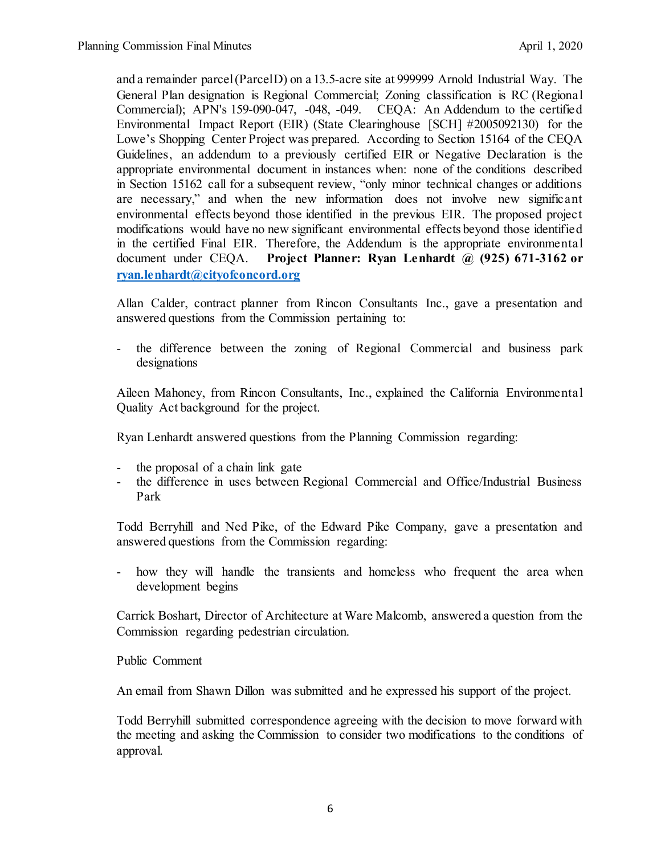and a remainder parcel (Parcel D) on a 13.5-acre site at 999999 Arnold Industrial Way. The General Plan designation is Regional Commercial; Zoning classification is RC (Regional Commercial); APN's 159-090-047, -048, -049. CEQA: An Addendum to the certified Environmental Impact Report (EIR) (State Clearinghouse [SCH] #2005092130) for the Lowe's Shopping Center Project was prepared. According to Section 15164 of the CEQA Guidelines, an addendum to a previously certified EIR or Negative Declaration is the appropriate environmental document in instances when: none of the conditions described in Section 15162 call for a subsequent review, "only minor technical changes or additions are necessary," and when the new information does not involve new significant environmental effects beyond those identified in the previous EIR. The proposed project modifications would have no new significant environmental effects beyond those identified in the certified Final EIR. Therefore, the Addendum is the appropriate environmental document under CEQA. **Project Planner: Ryan Lenhardt @ (925) 671-3162 or [ryan.lenhardt@cityofconcord.org](mailto:ryan.lenhardt@cityofconcord.org)**

Allan Calder, contract planner from Rincon Consultants Inc., gave a presentation and answered questions from the Commission pertaining to:

- the difference between the zoning of Regional Commercial and business park designations

Aileen Mahoney, from Rincon Consultants, Inc., explained the California Environmental Quality Act background for the project.

Ryan Lenhardt answered questions from the Planning Commission regarding:

- the proposal of a chain link gate
- the difference in uses between Regional Commercial and Office/Industrial Business Park

Todd Berryhill and Ned Pike, of the Edward Pike Company, gave a presentation and answered questions from the Commission regarding:

- how they will handle the transients and homeless who frequent the area when development begins

Carrick Boshart, Director of Architecture at Ware Malcomb, answered a question from the Commission regarding pedestrian circulation.

Public Comment

An email from Shawn Dillon was submitted and he expressed his support of the project.

Todd Berryhill submitted correspondence agreeing with the decision to move forward with the meeting and asking the Commission to consider two modifications to the conditions of approval.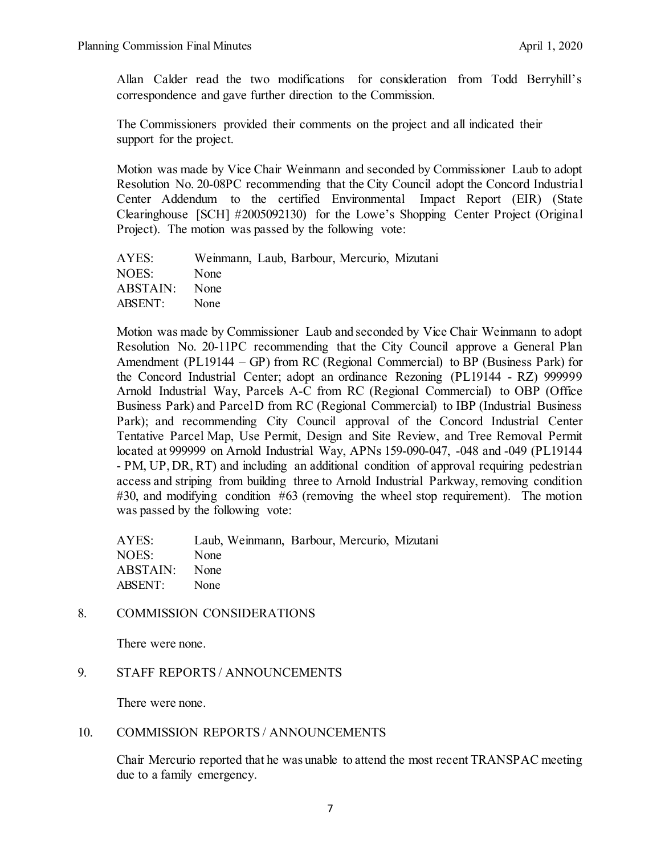Allan Calder read the two modifications for consideration from Todd Berryhill's correspondence and gave further direction to the Commission.

The Commissioners provided their comments on the project and all indicated their support for the project.

Motion was made by Vice Chair Weinmann and seconded by Commissioner Laub to adopt Resolution No. 20-08PC recommending that the City Council adopt the Concord Industrial Center Addendum to the certified Environmental Impact Report (EIR) (State Clearinghouse [SCH] #2005092130) for the Lowe's Shopping Center Project (Original Project). The motion was passed by the following vote:

| AYES:         | Weinmann, Laub, Barbour, Mercurio, Mizutani |  |  |
|---------------|---------------------------------------------|--|--|
| NOES:         | None                                        |  |  |
| ABSTAIN: None |                                             |  |  |
| ABSENT:       | None                                        |  |  |

Motion was made by Commissioner Laub and seconded by Vice Chair Weinmann to adopt Resolution No. 20-11PC recommending that the City Council approve a General Plan Amendment (PL19144 – GP) from RC (Regional Commercial) to BP (Business Park) for the Concord Industrial Center; adopt an ordinance Rezoning (PL19144 - RZ) 999999 Arnold Industrial Way, Parcels A-C from RC (Regional Commercial) to OBP (Office Business Park) and Parcel D from RC (Regional Commercial) to IBP (Industrial Business Park); and recommending City Council approval of the Concord Industrial Center Tentative Parcel Map, Use Permit, Design and Site Review, and Tree Removal Permit located at 999999 on Arnold Industrial Way, APNs 159-090-047, -048 and -049 (PL19144 - PM, UP, DR, RT) and including an additional condition of approval requiring pedestrian access and striping from building three to Arnold Industrial Parkway, removing condition #30, and modifying condition #63 (removing the wheel stop requirement). The motion was passed by the following vote:

| AYES:         |             | Laub, Weinmann, Barbour, Mercurio, Mizutani |  |  |
|---------------|-------------|---------------------------------------------|--|--|
| NOES:         | None        |                                             |  |  |
| ABSTAIN: None |             |                                             |  |  |
| ABSENT:       | <b>None</b> |                                             |  |  |

# 8. COMMISSION CONSIDERATIONS

There were none.

## 9. STAFF REPORTS / ANNOUNCEMENTS

There were none.

## 10. COMMISSION REPORTS / ANNOUNCEMENTS

Chair Mercurio reported that he was unable to attend the most recent TRANSPAC meeting due to a family emergency.